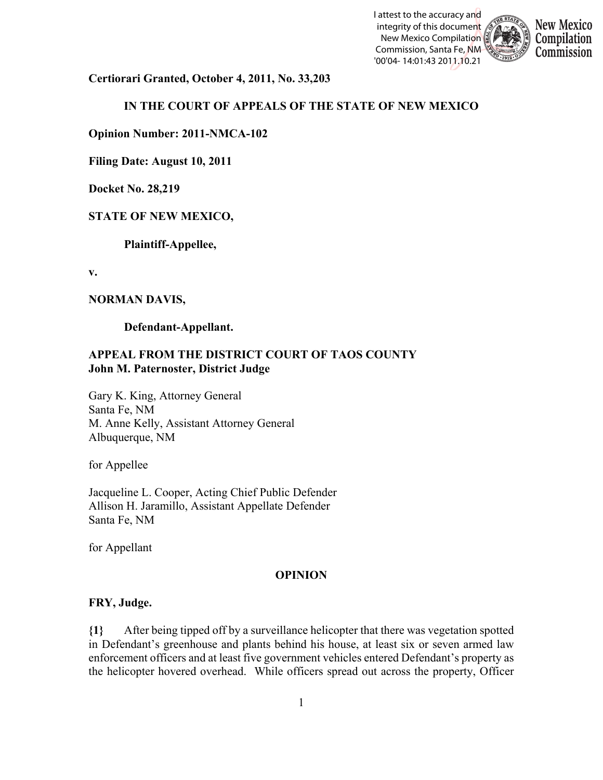



**Certiorari Granted, October 4, 2011, No. 33,203**

# **IN THE COURT OF APPEALS OF THE STATE OF NEW MEXICO**

**Opinion Number: 2011-NMCA-102**

**Filing Date: August 10, 2011** 

**Docket No. 28,219**

# **STATE OF NEW MEXICO,**

**Plaintiff-Appellee,**

**v.**

#### **NORMAN DAVIS,**

**Defendant-Appellant.**

#### **APPEAL FROM THE DISTRICT COURT OF TAOS COUNTY John M. Paternoster, District Judge**

Gary K. King, Attorney General Santa Fe, NM M. Anne Kelly, Assistant Attorney General Albuquerque, NM

for Appellee

Jacqueline L. Cooper, Acting Chief Public Defender Allison H. Jaramillo, Assistant Appellate Defender Santa Fe, NM

for Appellant

#### **OPINION**

#### **FRY, Judge.**

**{1}** After being tipped off by a surveillance helicopter that there was vegetation spotted in Defendant's greenhouse and plants behind his house, at least six or seven armed law enforcement officers and at least five government vehicles entered Defendant's property as the helicopter hovered overhead. While officers spread out across the property, Officer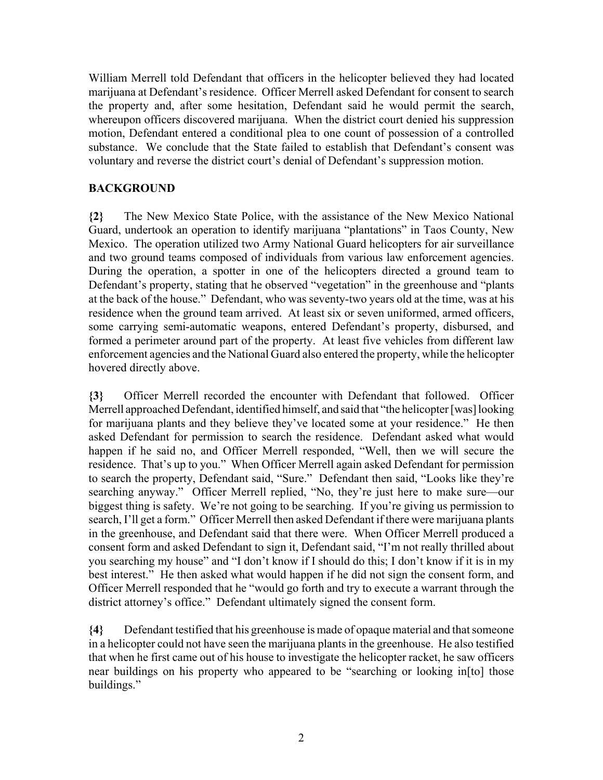William Merrell told Defendant that officers in the helicopter believed they had located marijuana at Defendant's residence. Officer Merrell asked Defendant for consent to search the property and, after some hesitation, Defendant said he would permit the search, whereupon officers discovered marijuana. When the district court denied his suppression motion, Defendant entered a conditional plea to one count of possession of a controlled substance. We conclude that the State failed to establish that Defendant's consent was voluntary and reverse the district court's denial of Defendant's suppression motion.

### **BACKGROUND**

**{2}** The New Mexico State Police, with the assistance of the New Mexico National Guard, undertook an operation to identify marijuana "plantations" in Taos County, New Mexico. The operation utilized two Army National Guard helicopters for air surveillance and two ground teams composed of individuals from various law enforcement agencies. During the operation, a spotter in one of the helicopters directed a ground team to Defendant's property, stating that he observed "vegetation" in the greenhouse and "plants at the back of the house."Defendant, who was seventy-two years old at the time, was at his residence when the ground team arrived.At least six or seven uniformed, armed officers, some carrying semi-automatic weapons, entered Defendant's property, disbursed, and formed a perimeter around part of the property. At least five vehicles from different law enforcement agencies and the National Guard also entered the property, while the helicopter hovered directly above.

**{3}** Officer Merrell recorded the encounter with Defendant that followed. Officer Merrell approached Defendant, identified himself, and said that "the helicopter [was] looking for marijuana plants and they believe they've located some at your residence." He then asked Defendant for permission to search the residence. Defendant asked what would happen if he said no, and Officer Merrell responded, "Well, then we will secure the residence. That's up to you." When Officer Merrell again asked Defendant for permission to search the property, Defendant said, "Sure." Defendant then said, "Looks like they're searching anyway." Officer Merrell replied, "No, they're just here to make sure—our biggest thing is safety. We're not going to be searching. If you're giving us permission to search, I'll get a form." Officer Merrell then asked Defendant if there were marijuana plants in the greenhouse, and Defendant said that there were. When Officer Merrell produced a consent form and asked Defendant to sign it, Defendant said, "I'm not really thrilled about you searching my house" and "I don't know if I should do this; I don't know if it is in my best interest." He then asked what would happen if he did not sign the consent form, and Officer Merrell responded that he "would go forth and try to execute a warrant through the district attorney's office." Defendant ultimately signed the consent form.

**{4}** Defendant testified that his greenhouse is made of opaque material and that someone in a helicopter could not have seen the marijuana plants in the greenhouse. He also testified that when he first came out of his house to investigate the helicopter racket, he saw officers near buildings on his property who appeared to be "searching or looking in[to] those buildings."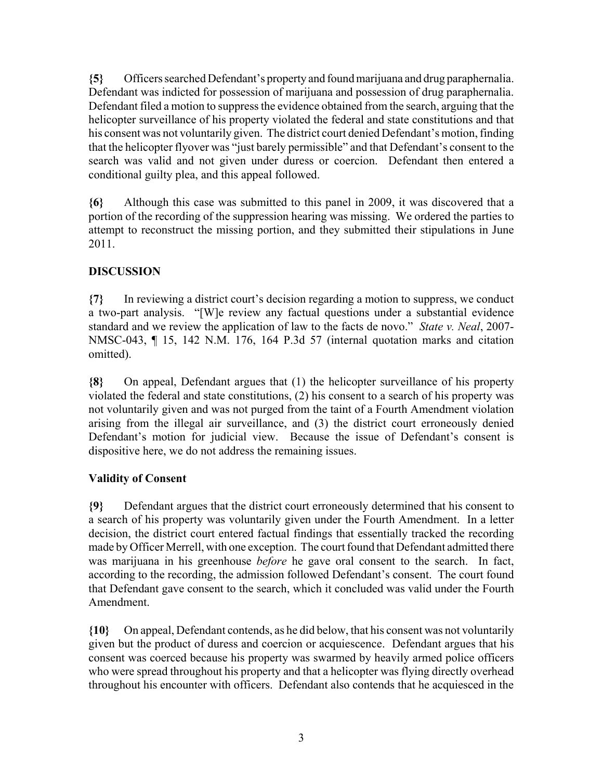**{5}** Officers searched Defendant's property and found marijuana and drug paraphernalia. Defendant was indicted for possession of marijuana and possession of drug paraphernalia. Defendant filed a motion to suppress the evidence obtained from the search, arguing that the helicopter surveillance of his property violated the federal and state constitutions and that his consent was not voluntarily given. The district court denied Defendant's motion, finding that the helicopter flyover was "just barely permissible" and that Defendant's consent to the search was valid and not given under duress or coercion. Defendant then entered a conditional guilty plea, and this appeal followed.

**{6}** Although this case was submitted to this panel in 2009, it was discovered that a portion of the recording of the suppression hearing was missing. We ordered the parties to attempt to reconstruct the missing portion, and they submitted their stipulations in June 2011.

# **DISCUSSION**

**{7}** In reviewing a district court's decision regarding a motion to suppress, we conduct a two-part analysis. "[W]e review any factual questions under a substantial evidence standard and we review the application of law to the facts de novo." *State v. Neal*, 2007- NMSC-043, ¶ 15, 142 N.M. 176, 164 P.3d 57 (internal quotation marks and citation omitted).

**{8}** On appeal, Defendant argues that (1) the helicopter surveillance of his property violated the federal and state constitutions, (2) his consent to a search of his property was not voluntarily given and was not purged from the taint of a Fourth Amendment violation arising from the illegal air surveillance, and (3) the district court erroneously denied Defendant's motion for judicial view. Because the issue of Defendant's consent is dispositive here, we do not address the remaining issues.

## **Validity of Consent**

**{9}** Defendant argues that the district court erroneously determined that his consent to a search of his property was voluntarily given under the Fourth Amendment. In a letter decision, the district court entered factual findings that essentially tracked the recording made by Officer Merrell, with one exception. The court found that Defendant admitted there was marijuana in his greenhouse *before* he gave oral consent to the search. In fact, according to the recording, the admission followed Defendant's consent. The court found that Defendant gave consent to the search, which it concluded was valid under the Fourth Amendment.

**{10}** On appeal, Defendant contends, as he did below, that his consent was not voluntarily given but the product of duress and coercion or acquiescence. Defendant argues that his consent was coerced because his property was swarmed by heavily armed police officers who were spread throughout his property and that a helicopter was flying directly overhead throughout his encounter with officers. Defendant also contends that he acquiesced in the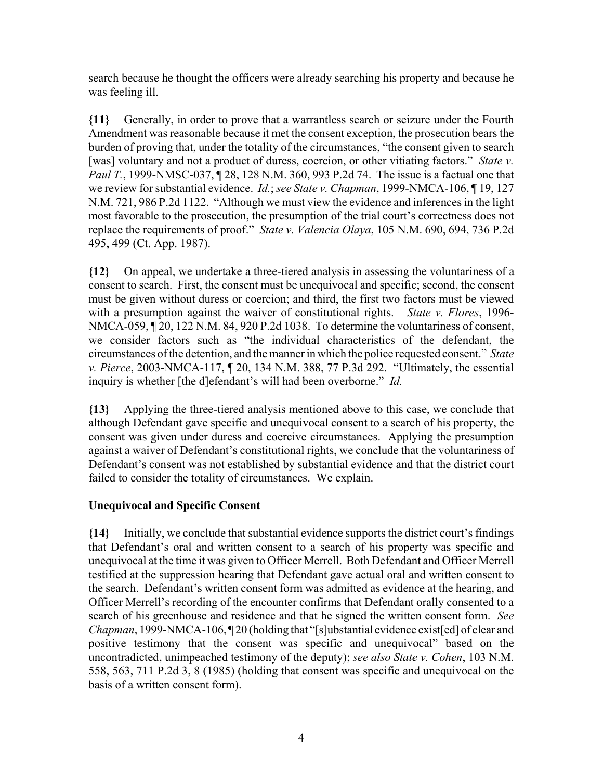search because he thought the officers were already searching his property and because he was feeling ill.

**{11}** Generally, in order to prove that a warrantless search or seizure under the Fourth Amendment was reasonable because it met the consent exception, the prosecution bears the burden of proving that, under the totality of the circumstances, "the consent given to search [was] voluntary and not a product of duress, coercion, or other vitiating factors." *State v. Paul T.*, 1999-NMSC-037, ¶ 28, 128 N.M. 360, 993 P.2d 74. The issue is a factual one that we review for substantial evidence. *Id.*; *see State v. Chapman*, 1999-NMCA-106, ¶ 19, 127 N.M. 721, 986 P.2d 1122. "Although we must view the evidence and inferences in the light most favorable to the prosecution, the presumption of the trial court's correctness does not replace the requirements of proof." *State v. Valencia Olaya*, 105 N.M. 690, 694, 736 P.2d 495, 499 (Ct. App. 1987).

**{12}** On appeal, we undertake a three-tiered analysis in assessing the voluntariness of a consent to search. First, the consent must be unequivocal and specific; second, the consent must be given without duress or coercion; and third, the first two factors must be viewed with a presumption against the waiver of constitutional rights. *State v. Flores*, 1996- NMCA-059, ¶ 20, 122 N.M. 84, 920 P.2d 1038. To determine the voluntariness of consent, we consider factors such as "the individual characteristics of the defendant, the circumstances of the detention, and the manner in which the police requested consent." *State v. Pierce*, 2003-NMCA-117, ¶ 20, 134 N.M. 388, 77 P.3d 292. "Ultimately, the essential inquiry is whether [the d]efendant's will had been overborne." *Id.*

**{13}** Applying the three-tiered analysis mentioned above to this case, we conclude that although Defendant gave specific and unequivocal consent to a search of his property, the consent was given under duress and coercive circumstances. Applying the presumption against a waiver of Defendant's constitutional rights, we conclude that the voluntariness of Defendant's consent was not established by substantial evidence and that the district court failed to consider the totality of circumstances. We explain.

## **Unequivocal and Specific Consent**

**{14}** Initially, we conclude that substantial evidence supports the district court's findings that Defendant's oral and written consent to a search of his property was specific and unequivocal at the time it was given to Officer Merrell. Both Defendant and Officer Merrell testified at the suppression hearing that Defendant gave actual oral and written consent to the search. Defendant's written consent form was admitted as evidence at the hearing, and Officer Merrell's recording of the encounter confirms that Defendant orally consented to a search of his greenhouse and residence and that he signed the written consent form. *See Chapman*, 1999-NMCA-106, [20] (holding that "[s]ubstantial evidence exist[ed] of clear and positive testimony that the consent was specific and unequivocal" based on the uncontradicted, unimpeached testimony of the deputy); *see also State v. Cohen*, 103 N.M. 558, 563, 711 P.2d 3, 8 (1985) (holding that consent was specific and unequivocal on the basis of a written consent form).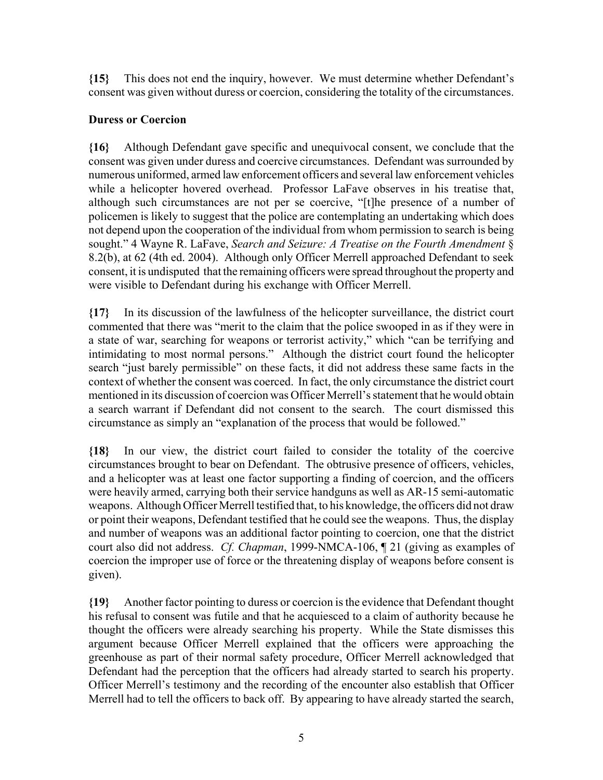**{15}** This does not end the inquiry, however. We must determine whether Defendant's consent was given without duress or coercion, considering the totality of the circumstances.

# **Duress or Coercion**

**{16}** Although Defendant gave specific and unequivocal consent, we conclude that the consent was given under duress and coercive circumstances. Defendant was surrounded by numerous uniformed, armed law enforcement officers and several law enforcement vehicles while a helicopter hovered overhead. Professor LaFave observes in his treatise that, although such circumstances are not per se coercive, "[t]he presence of a number of policemen is likely to suggest that the police are contemplating an undertaking which does not depend upon the cooperation of the individual from whom permission to search is being sought." 4 Wayne R. LaFave, *Search and Seizure: A Treatise on the Fourth Amendment* § 8.2(b), at 62 (4th ed. 2004). Although only Officer Merrell approached Defendant to seek consent, it is undisputed that the remaining officers were spread throughout the property and were visible to Defendant during his exchange with Officer Merrell.

**{17}** In its discussion of the lawfulness of the helicopter surveillance, the district court commented that there was "merit to the claim that the police swooped in as if they were in a state of war, searching for weapons or terrorist activity," which "can be terrifying and intimidating to most normal persons." Although the district court found the helicopter search "just barely permissible" on these facts, it did not address these same facts in the context of whether the consent was coerced. In fact, the only circumstance the district court mentioned in its discussion of coercion was Officer Merrell's statement that he would obtain a search warrant if Defendant did not consent to the search. The court dismissed this circumstance as simply an "explanation of the process that would be followed."

**{18}** In our view, the district court failed to consider the totality of the coercive circumstances brought to bear on Defendant. The obtrusive presence of officers, vehicles, and a helicopter was at least one factor supporting a finding of coercion, and the officers were heavily armed, carrying both their service handguns as well as AR-15 semi-automatic weapons. Although Officer Merrell testified that, to his knowledge, the officers did not draw or point their weapons, Defendant testified that he could see the weapons. Thus, the display and number of weapons was an additional factor pointing to coercion, one that the district court also did not address. *Cf. Chapman*, 1999-NMCA-106, ¶ 21 (giving as examples of coercion the improper use of force or the threatening display of weapons before consent is given).

**{19}** Another factor pointing to duress or coercion is the evidence that Defendant thought his refusal to consent was futile and that he acquiesced to a claim of authority because he thought the officers were already searching his property. While the State dismisses this argument because Officer Merrell explained that the officers were approaching the greenhouse as part of their normal safety procedure, Officer Merrell acknowledged that Defendant had the perception that the officers had already started to search his property. Officer Merrell's testimony and the recording of the encounter also establish that Officer Merrell had to tell the officers to back off. By appearing to have already started the search,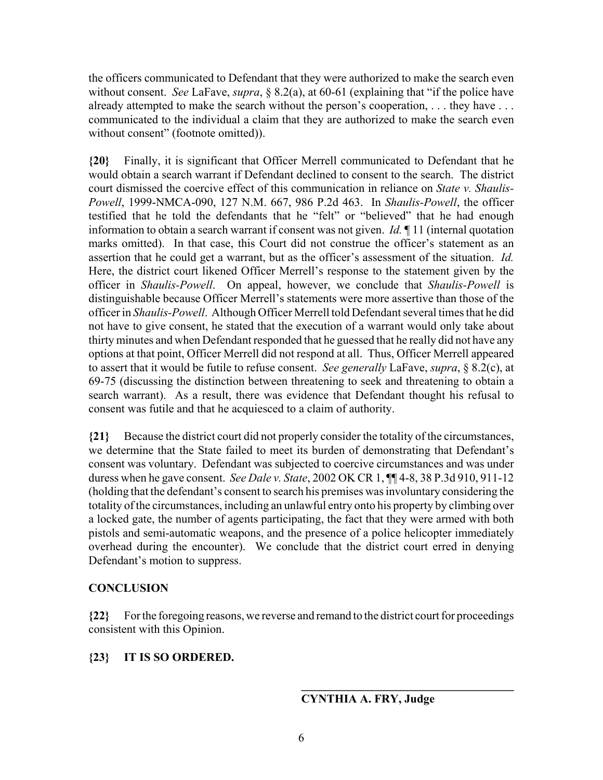the officers communicated to Defendant that they were authorized to make the search even without consent. *See* LaFave, *supra*, § 8.2(a), at 60-61 (explaining that "if the police have already attempted to make the search without the person's cooperation, ... they have ... communicated to the individual a claim that they are authorized to make the search even without consent" (footnote omitted)).

**{20}** Finally, it is significant that Officer Merrell communicated to Defendant that he would obtain a search warrant if Defendant declined to consent to the search. The district court dismissed the coercive effect of this communication in reliance on *State v. Shaulis-Powell*, 1999-NMCA-090, 127 N.M. 667, 986 P.2d 463. In *Shaulis-Powell*, the officer testified that he told the defendants that he "felt" or "believed" that he had enough information to obtain a search warrant if consent was not given. *Id.* ¶ 11 (internal quotation marks omitted). In that case, this Court did not construe the officer's statement as an assertion that he could get a warrant, but as the officer's assessment of the situation. *Id.* Here, the district court likened Officer Merrell's response to the statement given by the officer in *Shaulis-Powell*. On appeal, however, we conclude that *Shaulis-Powell* is distinguishable because Officer Merrell's statements were more assertive than those of the officer in *Shaulis-Powell*. Although Officer Merrell told Defendant several times that he did not have to give consent, he stated that the execution of a warrant would only take about thirty minutes and when Defendant responded that he guessed that he really did not have any options at that point, Officer Merrell did not respond at all. Thus, Officer Merrell appeared to assert that it would be futile to refuse consent. *See generally* LaFave, *supra*, § 8.2(c), at 69-75 (discussing the distinction between threatening to seek and threatening to obtain a search warrant). As a result, there was evidence that Defendant thought his refusal to consent was futile and that he acquiesced to a claim of authority.

**{21}** Because the district court did not properly consider the totality of the circumstances, we determine that the State failed to meet its burden of demonstrating that Defendant's consent was voluntary. Defendant was subjected to coercive circumstances and was under duress when he gave consent. *See Dale v. State*, 2002 OK CR 1, ¶¶ 4-8, 38 P.3d 910, 911-12 (holding that the defendant's consent to search his premises was involuntary considering the totality of the circumstances, including an unlawful entry onto his property by climbing over a locked gate, the number of agents participating, the fact that they were armed with both pistols and semi-automatic weapons, and the presence of a police helicopter immediately overhead during the encounter). We conclude that the district court erred in denying Defendant's motion to suppress.

#### **CONCLUSION**

**{22}** For the foregoing reasons, we reverse and remand to the district court for proceedings consistent with this Opinion.

#### **{23} IT IS SO ORDERED.**

#### **CYNTHIA A. FRY, Judge**

**\_\_\_\_\_\_\_\_\_\_\_\_\_\_\_\_\_\_\_\_\_\_\_\_\_\_\_\_\_\_\_\_\_\_\_\_**